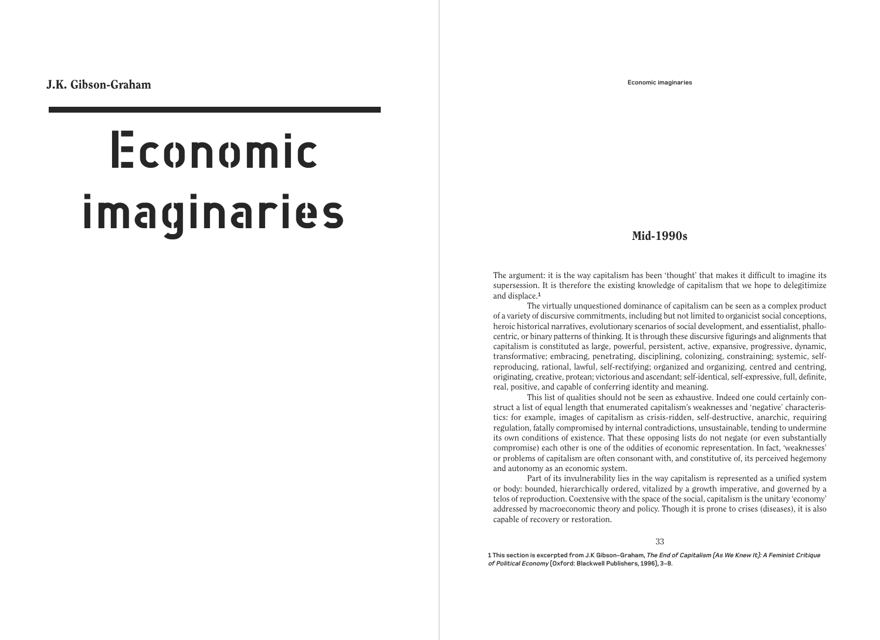**Economic imaginaries**

# **Mid-1990s**

The argument: it is the way capitalism has been 'thought' that makes it difficult to imagine its supersession. It is therefore the existing knowledge of capitalism that we hope to delegitimize and displace.**<sup>1</sup>**

The virtually unquestioned dominance of capitalism can be seen as a complex product of a variety of discursive commitments, including but not limited to organicist social conceptions, heroic historical narratives, evolutionary scenarios of social development, and essentialist, phallocentric, or binary patterns of thinking. It is through these discursive figurings and alignments that capitalism is constituted as large, powerful, persistent, active, expansive, progressive, dynamic, transformative; embracing, penetrating, disciplining, colonizing, constraining; systemic, selfreproducing, rational, lawful, self-rectifying; organized and organizing, centred and centring, originating, creative, protean; victorious and ascendant; self-identical, self-expressive, full, definite, real, positive, and capable of conferring identity and meaning.

This list of qualities should not be seen as exhaustive. Indeed one could certainly construct a list of equal length that enumerated capitalism's weaknesses and 'negative' characteristics: for example, images of capitalism as crisis-ridden, self-destructive, anarchic, requiring regulation, fatally compromised by internal contradictions, unsustainable, tending to undermine its own conditions of existence. That these opposing lists do not negate (or even substantially compromise) each other is one of the oddities of economic representation. In fact, 'weaknesses' or problems of capitalism are often consonant with, and constitutive of, its perceived hegemony and autonomy as an economic system.

Part of its invulnerability lies in the way capitalism is represented as a unified system or body: bounded, hierarchically ordered, vitalized by a growth imperative, and governed by a telos of reproduction. Coextensive with the space of the social, capitalism is the unitary 'economy' addressed by macroeconomic theory and policy. Though it is prone to crises (diseases), it is also capable of recovery or restoration.

33

**1 This section is excerpted from J.K Gibson-Graham, The End of Capitalism (As We Knew It): A Feminist Critique of Political Economy (Oxford: Blackwell Publishers, 1996), 3-8.**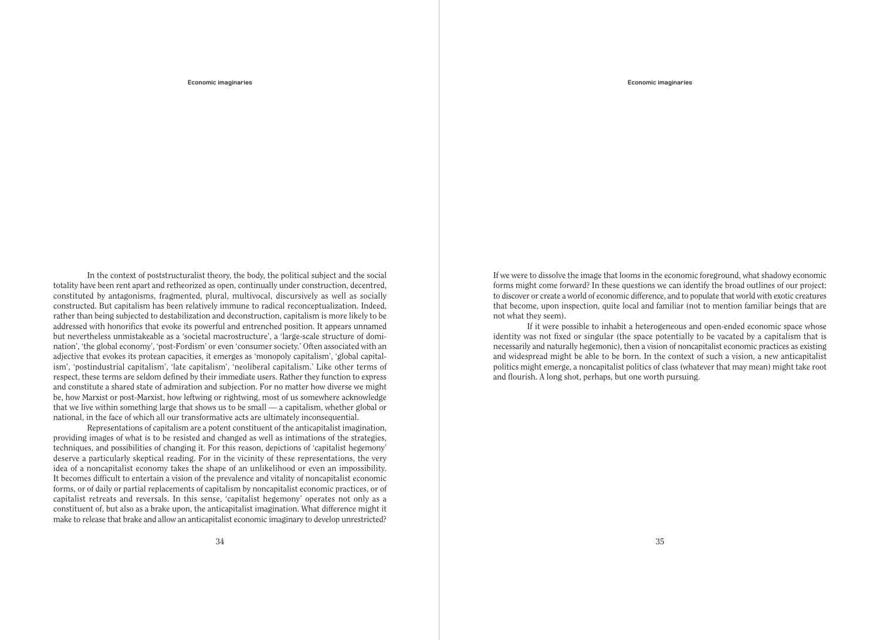**Economic imaginaries**

In the context of poststructuralist theory, the body, the political subject and the social totality have been rent apart and retheorized as open, continually under construction, decentred, constituted by antagonisms, fragmented, plural, multivocal, discursively as well as socially constructed. But capitalism has been relatively immune to radical reconceptualization. Indeed, rather than being subjected to destabilization and deconstruction, capitalism is more likely to be addressed with honorifics that evoke its powerful and entrenched position. It appears unnamed but nevertheless unmistakeable as a 'societal macrostructure', a 'large-scale structure of domination', 'the global economy', 'post-Fordism' or even 'consumer society.' Often associated with an adjective that evokes its protean capacities, it emerges as 'monopoly capitalism', 'global capitalism', 'postindustrial capitalism', 'late capitalism', 'neoliberal capitalism.' Like other terms of respect, these terms are seldom defined by their immediate users. Rather they function to express and constitute a shared state of admiration and subjection. For no matter how diverse we might be, how Marxist or post-Marxist, how leftwing or rightwing, most of us somewhere acknowledge that we live within something large that shows us to be small — a capitalism, whether global or national, in the face of which all our transformative acts are ultimately inconsequential.

Representations of capitalism are a potent constituent of the anticapitalist imagination, providing images of what is to be resisted and changed as well as intimations of the strategies, techniques, and possibilities of changing it. For this reason, depictions of 'capitalist hegemony' deserve a particularly skeptical reading. For in the vicinity of these representations, the very idea of a noncapitalist economy takes the shape of an unlikelihood or even an impossibility. It becomes difficult to entertain a vision of the prevalence and vitality of noncapitalist economic forms, or of daily or partial replacements of capitalism by noncapitalist economic practices, or of capitalist retreats and reversals. In this sense, 'capitalist hegemony' operates not only as a constituent of, but also as a brake upon, the anticapitalist imagination. What difference might it make to release that brake and allow an anticapitalist economic imaginary to develop unrestricted? If we were to dissolve the image that looms in the economic foreground, what shadowy economic forms might come forward? In these questions we can identify the broad outlines of our project: to discover or create a world of economic difference, and to populate that world with exotic creatures that become, upon inspection, quite local and familiar (not to mention familiar beings that are not what they seem).

If it were possible to inhabit a heterogeneous and open-ended economic space whose identity was not fixed or singular (the space potentially to be vacated by a capitalism that is necessarily and naturally hegemonic), then a vision of noncapitalist economic practices as existing and widespread might be able to be born. In the context of such a vision, a new anticapitalist politics might emerge, a noncapitalist politics of class (whatever that may mean) might take root and flourish. A long shot, perhaps, but one worth pursuing.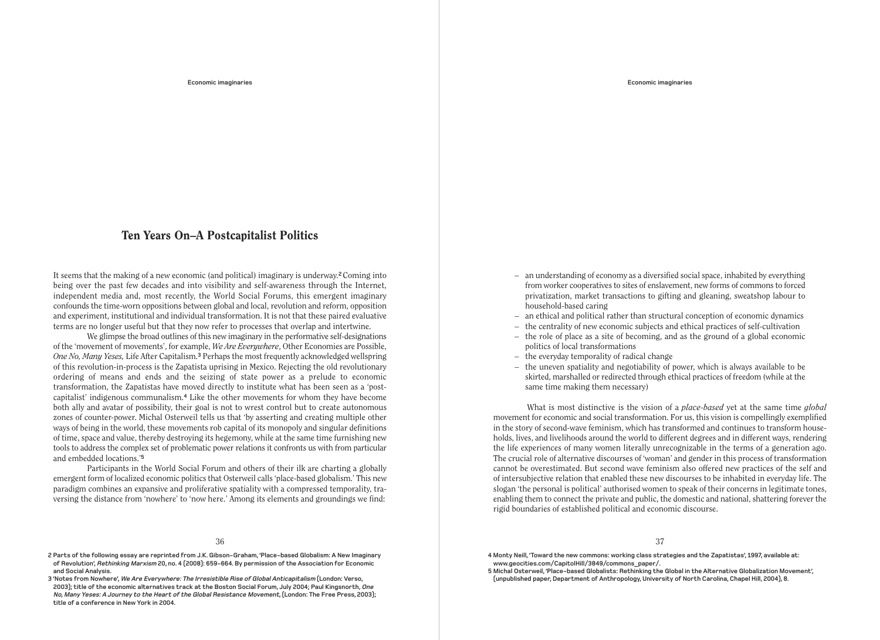#### **Economic imaginaries**

# **Ten Years On–A Postcapitalist Politics**

It seems that the making of a new economic (and political) imaginary is underway.**2** Coming into being over the past few decades and into visibility and self-awareness through the Internet, independent media and, most recently, the World Social Forums, this emergent imaginary confounds the time-worn oppositions between global and local, revolution and reform, opposition and experiment, institutional and individual transformation. It is not that these paired evaluative terms are no longer useful but that they now refer to processes that overlap and intertwine.

We glimpse the broad outlines of this new imaginary in the performative self-designations of the 'movement of movements', for example, *We Are Everywhere*, Other Economies are Possible, *One No, Many Yeses,* Life After Capitalism.**<sup>3</sup>** Perhaps the most frequently acknowledged wellspring of this revolution-in-process is the Zapatista uprising in Mexico. Rejecting the old revolutionary ordering of means and ends and the seizing of state power as a prelude to economic transformation, the Zapatistas have moved directly to institute what has been seen as a 'postcapitalist' indigenous communalism.**<sup>4</sup>** Like the other movements for whom they have become both ally and avatar of possibility, their goal is not to wrest control but to create autonomous zones of counter-power. Michal Osterweil tells us that 'by asserting and creating multiple other ways of being in the world, these movements rob capital of its monopoly and singular definitions of time, space and value, thereby destroying its hegemony, while at the same time furnishing new tools to address the complex set of problematic power relations it confronts us with from particular and embedded locations.'**<sup>5</sup>**

Participants in the World Social Forum and others of their ilk are charting a globally emergent form of localized economic politics that Osterweil calls 'place-based globalism.' This new paradigm combines an expansive and proliferative spatiality with a compressed temporality, traversing the distance from 'nowhere' to 'now here.' Among its elements and groundings we find:

**2 Parts of the following essay are reprinted from J.K. Gibson-Graham, 'Place-based Globalism: A New Imaginary of Revolution', Rethinking Marxism 20, no. 4 (2008): 659-664. By permission of the Association for Economic and Social Analysis.**

**3 'Notes from Nowhere', We Are Everywhere: The Irresistible Rise of Global Anticapitalism (London: Verso, 2003); title of the economic alternatives track at the Boston Social Forum, July 2004; Paul Kingsnorth, One No, Many Yeses: A Journey to the Heart of the Global Resistance Movement, (London: The Free Press, 2003); title of a conference in New York in 2004.** 

- an understanding of economy as a diversified social space, inhabited by everything from worker cooperatives to sites of enslavement, new forms of commons to forced privatization, market transactions to gifting and gleaning, sweatshop labour to household-based caring
- an ethical and political rather than structural conception of economic dynamics
- the centrality of new economic subjects and ethical practices of self-cultivation
- the role of place as a site of becoming, and as the ground of a global economic politics of local transformations
- the everyday temporality of radical change
- the uneven spatiality and negotiability of power, which is always available to be skirted, marshalled or redirected through ethical practices of freedom (while at the same time making them necessary)

What is most distinctive is the vision of a *place-based* yet at the same time *global* movement for economic and social transformation. For us, this vision is compellingly exemplified in the story of second-wave feminism, which has transformed and continues to transform households, lives, and livelihoods around the world to different degrees and in different ways, rendering the life experiences of many women literally unrecognizable in the terms of a generation ago. The crucial role of alternative discourses of 'woman' and gender in this process of transformation cannot be overestimated. But second wave feminism also offered new practices of the self and of intersubjective relation that enabled these new discourses to be inhabited in everyday life. The slogan 'the personal is political' authorised women to speak of their concerns in legitimate tones, enabling them to connect the private and public, the domestic and national, shattering forever the rigid boundaries of established political and economic discourse.

- **4 Monty Neill, 'Toward the new commons: working class strategies and the Zapatistas', 1997, available at: www.geocities.com/CapitolHill/3849/commons\_paper/.**
- **5 Michal Osterweil, 'Place-based Globalists: Rethinking the Global in the Alternative Globalization Movement', (unpublished paper, Department of Anthropology, University of North Carolina, Chapel Hill, 2004), 8.**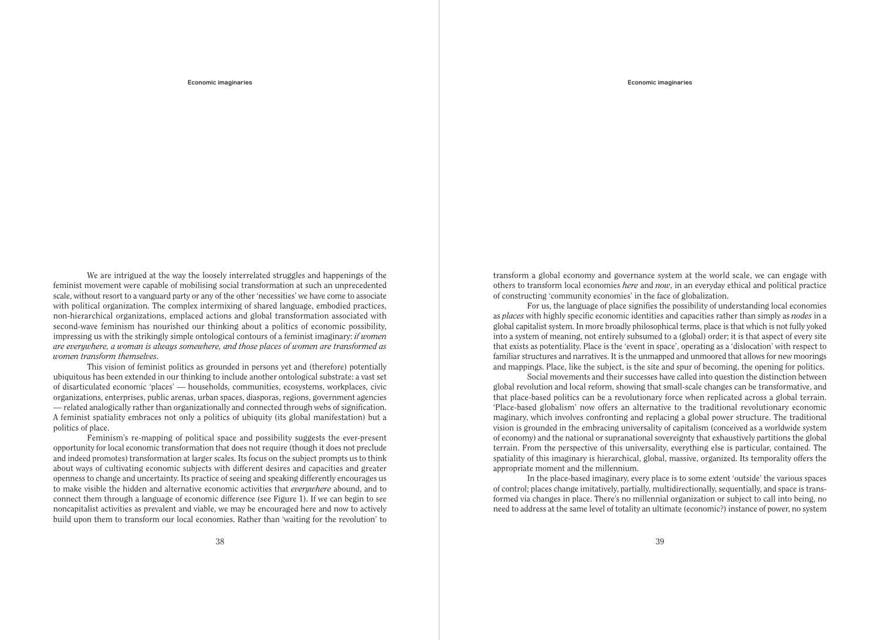**Economic imaginaries**

We are intrigued at the way the loosely interrelated struggles and happenings of the feminist movement were capable of mobilising social transformation at such an unprecedented scale, without resort to a vanguard party or any of the other 'necessities' we have come to associate with political organization. The complex intermixing of shared language, embodied practices, non-hierarchical organizations, emplaced actions and global transformation associated with second-wave feminism has nourished our thinking about a politics of economic possibility, impressing us with the strikingly simple ontological contours of a feminist imaginary: *if women are everywhere, a woman is always somewhere, and those places of women are transformed as women transform themselves.*

This vision of feminist politics as grounded in persons yet and (therefore) potentially ubiquitous has been extended in our thinking to include another ontological substrate: a vast set of disarticulated economic 'places' — households, communities, ecosystems, workplaces, civic organizations, enterprises, public arenas, urban spaces, diasporas, regions, government agencies — related analogically rather than organizationally and connected through webs of signification. A feminist spatiality embraces not only a politics of ubiquity (its global manifestation) but a politics of place.

Feminism's re-mapping of political space and possibility suggests the ever-present opportunity for local economic transformation that does not require (though it does not preclude and indeed promotes) transformation at larger scales. Its focus on the subject prompts us to think about ways of cultivating economic subjects with different desires and capacities and greater openness to change and uncertainty. Its practice of seeing and speaking differently encourages us to make visible the hidden and alternative economic activities that *everywhere* abound, and to connect them through a language of economic difference (see Figure 1). If we can begin to see noncapitalist activities as prevalent and viable, we may be encouraged here and now to actively build upon them to transform our local economies. Rather than 'waiting for the revolution' to transform a global economy and governance system at the world scale, we can engage with others to transform local economies *here* and *now*, in an everyday ethical and political practice of constructing 'community economies' in the face of globalization.

For us, the language of place signifies the possibility of understanding local economies as *places* with highly specific economic identities and capacities rather than simply as *nodes* in a global capitalist system. In more broadly philosophical terms, place is that which is not fully yoked into a system of meaning, not entirely subsumed to a (global) order; it is that aspect of every site that exists as potentiality. Place is the 'event in space', operating as a 'dislocation' with respect to familiar structures and narratives. It is the unmapped and unmoored that allows for new moorings and mappings. Place, like the subject, is the site and spur of becoming, the opening for politics.

Social movements and their successes have called into question the distinction between global revolution and local reform, showing that small-scale changes can be transformative, and that place-based politics can be a revolutionary force when replicated across a global terrain. 'Place-based globalism' now offers an alternative to the traditional revolutionary economic maginary, which involves confronting and replacing a global power structure. The traditional vision is grounded in the embracing universality of capitalism (conceived as a worldwide system of economy) and the national or supranational sovereignty that exhaustively partitions the global terrain. From the perspective of this universality, everything else is particular, contained. The spatiality of this imaginary is hierarchical, global, massive, organized. Its temporality offers the appropriate moment and the millennium.

In the place-based imaginary, every place is to some extent 'outside' the various spaces of control; places change imitatively, partially, multidirectionally, sequentially, and space is transformed via changes in place. There's no millennial organization or subject to call into being, no need to address at the same level of totality an ultimate (economic?) instance of power, no system